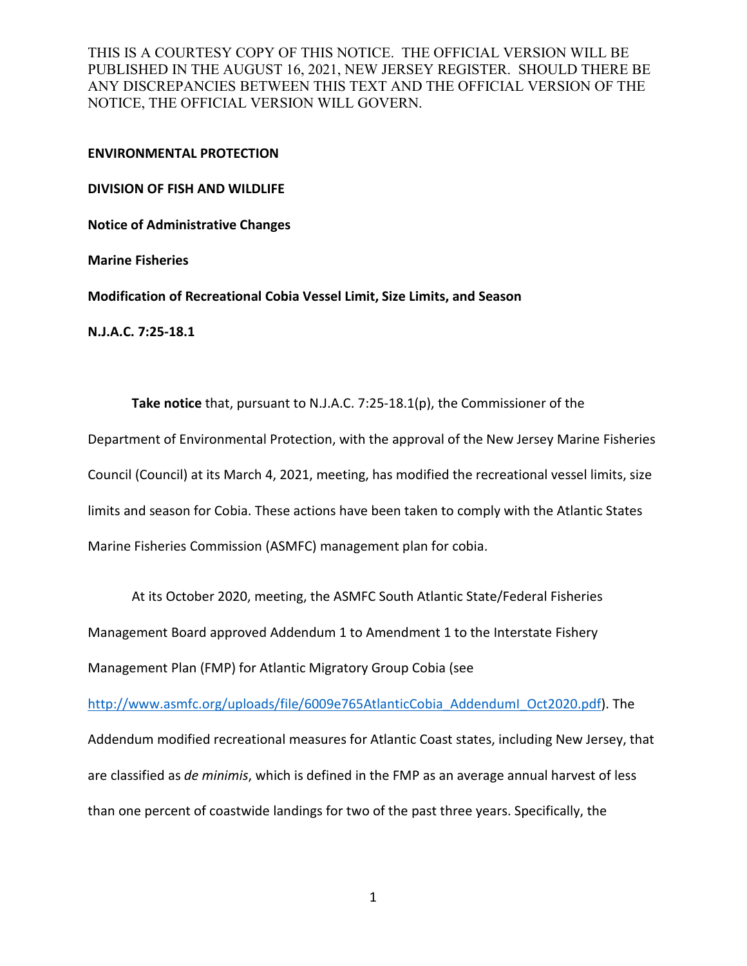**ENVIRONMENTAL PROTECTION** 

**DIVISION OF FISH AND WILDLIFE**

**Notice of Administrative Changes**

**Marine Fisheries**

**Modification of Recreational Cobia Vessel Limit, Size Limits, and Season**

**N.J.A.C. 7:25-18.1**

**Take notice** that, pursuant to N.J.A.C. 7:25-18.1(p), the Commissioner of the Department of Environmental Protection, with the approval of the New Jersey Marine Fisheries Council (Council) at its March 4, 2021, meeting, has modified the recreational vessel limits, size limits and season for Cobia. These actions have been taken to comply with the Atlantic States Marine Fisheries Commission (ASMFC) management plan for cobia.

At its October 2020, meeting, the ASMFC South Atlantic State/Federal Fisheries Management Board approved Addendum 1 to Amendment 1 to the Interstate Fishery Management Plan (FMP) for Atlantic Migratory Group Cobia (see

[http://www.asmfc.org/uploads/file/6009e765AtlanticCobia\\_AddendumI\\_Oct2020.pdf\)](http://www.asmfc.org/uploads/file/6009e765AtlanticCobia_AddendumI_Oct2020.pdf). The Addendum modified recreational measures for Atlantic Coast states, including New Jersey, that are classified as *de minimis*, which is defined in the FMP as an average annual harvest of less than one percent of coastwide landings for two of the past three years. Specifically, the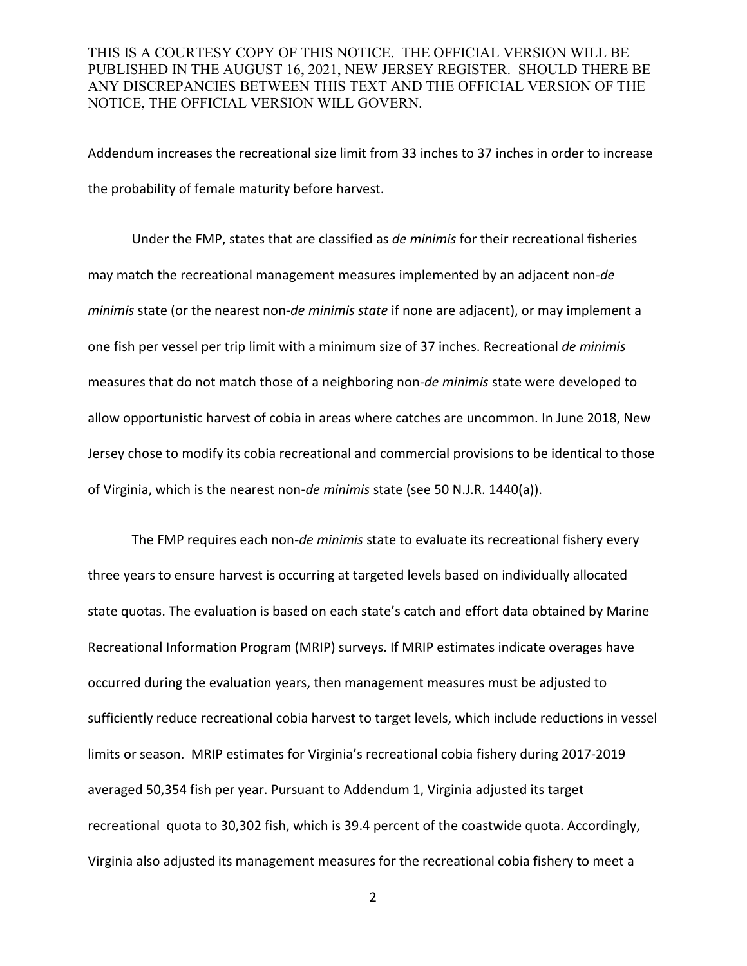Addendum increases the recreational size limit from 33 inches to 37 inches in order to increase the probability of female maturity before harvest.

Under the FMP, states that are classified as *de minimis* for their recreational fisheries may match the recreational management measures implemented by an adjacent non-*de minimis* state (or the nearest non-*de minimis state* if none are adjacent), or may implement a one fish per vessel per trip limit with a minimum size of 37 inches. Recreational *de minimis*  measures that do not match those of a neighboring non-*de minimis* state were developed to allow opportunistic harvest of cobia in areas where catches are uncommon. In June 2018, New Jersey chose to modify its cobia recreational and commercial provisions to be identical to those of Virginia, which is the nearest non-*de minimis* state (see 50 N.J.R. 1440(a)).

The FMP requires each non-*de minimis* state to evaluate its recreational fishery every three years to ensure harvest is occurring at targeted levels based on individually allocated state quotas. The evaluation is based on each state's catch and effort data obtained by Marine Recreational Information Program (MRIP) surveys. If MRIP estimates indicate overages have occurred during the evaluation years, then management measures must be adjusted to sufficiently reduce recreational cobia harvest to target levels, which include reductions in vessel limits or season. MRIP estimates for Virginia's recreational cobia fishery during 2017-2019 averaged 50,354 fish per year. Pursuant to Addendum 1, Virginia adjusted its target recreational quota to 30,302 fish, which is 39.4 percent of the coastwide quota. Accordingly, Virginia also adjusted its management measures for the recreational cobia fishery to meet a

2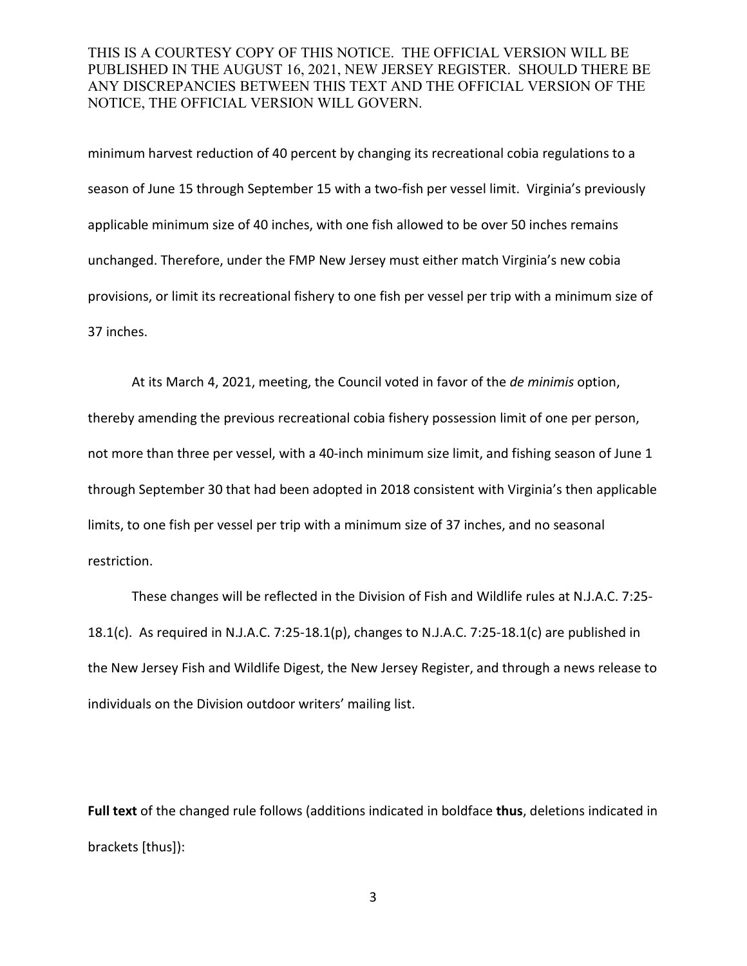minimum harvest reduction of 40 percent by changing its recreational cobia regulations to a season of June 15 through September 15 with a two-fish per vessel limit. Virginia's previously applicable minimum size of 40 inches, with one fish allowed to be over 50 inches remains unchanged. Therefore, under the FMP New Jersey must either match Virginia's new cobia provisions, or limit its recreational fishery to one fish per vessel per trip with a minimum size of 37 inches.

At its March 4, 2021, meeting, the Council voted in favor of the *de minimis* option, thereby amending the previous recreational cobia fishery possession limit of one per person, not more than three per vessel, with a 40-inch minimum size limit, and fishing season of June 1 through September 30 that had been adopted in 2018 consistent with Virginia's then applicable limits, to one fish per vessel per trip with a minimum size of 37 inches, and no seasonal restriction.

These changes will be reflected in the Division of Fish and Wildlife rules at N.J.A.C. 7:25- 18.1(c). As required in N.J.A.C. 7:25-18.1(p), changes to N.J.A.C. 7:25-18.1(c) are published in the New Jersey Fish and Wildlife Digest, the New Jersey Register, and through a news release to individuals on the Division outdoor writers' mailing list.

**Full text** of the changed rule follows (additions indicated in boldface **thus**, deletions indicated in brackets [thus]):